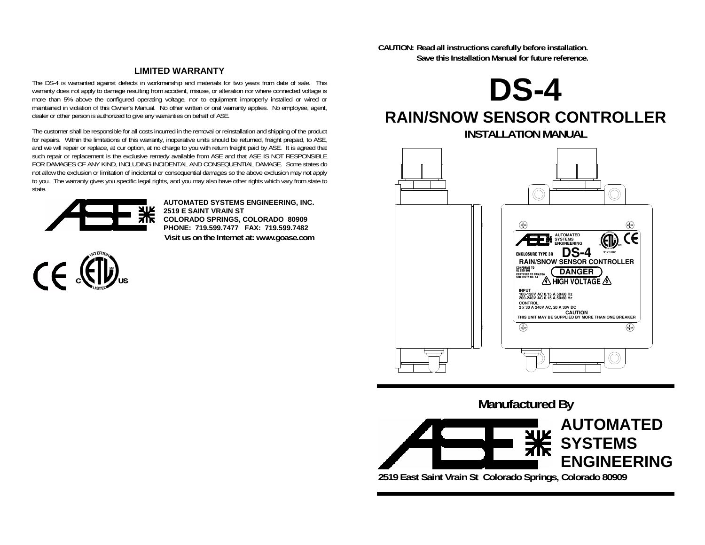**CAUTION: Read all instructions carefully before installation. Save this Installation Manual for future reference.** 

#### **LIMITED WARRANTY**

The DS-4 is warranted against defects in workmanship and materials for two years from date of sale. This warranty does not apply to damage resulting from accident, misuse, or alteration nor where connected voltage is more than 5% above the configured operating voltage, nor to equipment improperly installed or wired or maintained in violation of this Owner's Manual. No other written or oral warranty applies. No employee, agent, dealer or other person is authorized to give any warranties on behalf of ASE.

The customer shall be responsible for all costs incurred in the removal or reinstallation and shipping of the product for repairs. Within the limitations of this warranty, inoperative units should be returned, freight prepaid, to ASE, and we will repair or replace, at our option, at no charge to you with return freight paid by ASE. It is agreed that such repair or replacement is the exclusive remedy available from ASE and that ASE IS NOT RESPONSIBLE FOR DAMAGES OF ANY KIND, INCLUDING INCIDENTAL AND CONSEQUENTIAL DAMAGE. Some states do not allow the exclusion or limitation of incidental or consequential damages so the above exclusion may not apply to you. The warranty gives you specific legal rights, and you may also have other rights which vary from state to state.



**AUTOMATED SYSTEMS ENGINEERING, INC. 2519 E SAINT VRAIN ST COLORADO SPRINGS, COLORADO 80909 PHONE: 719.599.7477 FAX: 719.599.7482 Visit us on the Internet at: www.goase.com** 



# **DS-4 RAIN/SNOW SENSOR CONTROLLER**

**INSTALLATION MANUAL** 



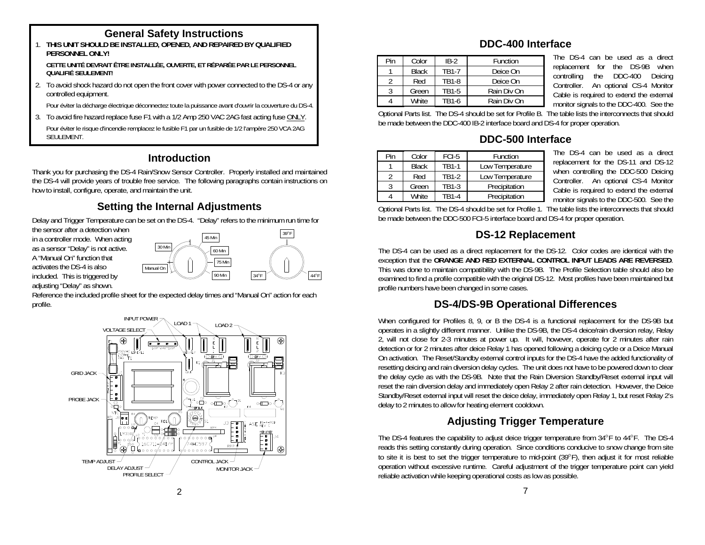## **General Safety Instructions**

 1. **THIS UNIT SHOULD BE INSTALLED, OPENED, AND REPAIRED BY QUALIFIED DDC-400 Interface PERSONNEL ONLY!** 

CETTE UNITÉ DEVRAIT ÊTRE INSTALLÉE, OUVERTE, ET RÉPARÉE PAR LE PERSONNEL **QUALIFIÉ SEULEMENTI** 

2. To avoid shock hazard do not open the front cover with power connected to the DS-4 or any controlled equipment.<br>3 Green Tanis Divertion Divid Divid Divid Divid Divid Divid Divid Divid Divid Pour éviter la décharge électrique déconnectez toute la puissance avant d'ouvrir la couverture du DS-4.

3. To avoid fire hazard replace fuse F1 with a 1/2 Amp 250 VAC 2AG fast acting fuse ONLY.

Pour éviter le risque d'incendie remplacez le fusible F1 par un fusible de 1/2 l'ampère 250 VCA 2AG SEULEMENT.

# **Introduction**

Thank you for purchasing the DS-4 Rain/Snow Sensor Controller. Properly installed and maintained the DS-4 will provide years of trouble free service. The following paragraphs contain instructions on ' how to install, configure, operate, and maintain the unit.

# **Setting the Internal Adjustments**

Delay and Trigger Temperature can be set on the DS-4. "Delay" refers to the minimum run time for

as a sensor "Delay" is not active. the sensor after a detection when in a controller mode. When acting A "Manual On" function that activates the DS-4 is also included. This is triggered by adjusting "Delay" as shown.



Reference the included profile sheet for the expected delay times and "Manual On" action for each profile.



| Pin | Color        | $IR-2$            | Function    |  |
|-----|--------------|-------------------|-------------|--|
|     | <b>Black</b> | TR1-7             | Deice On    |  |
|     | Red          | TR <sub>1-8</sub> | Deice On    |  |
|     | Green        | TR <sub>1-5</sub> | Rain Div On |  |
|     | <b>White</b> | TB1-6             | Rain Div On |  |

The DS-4 can be used as a direct replacement for the DS-9B when controlling the DDC-400 Deicing Controller. An optional CS-4 Monitor Cable is required to extend the external monitor signals to the DDC-400. See the

Optional Parts list. The DS-4 should be set for Profile B. The table lists the interconnects that should be made between the DDC-400 IB-2 interface board and DS-4 for proper operation.

# **DDC-500 Interface**

| Pin | Color        | FCI-5 | Function        |  |
|-----|--------------|-------|-----------------|--|
|     | <b>Black</b> | TR1-1 | Low Temperature |  |
|     | Red          | TR1-2 | Low Temperature |  |
|     | Green        | TB1-3 | Precipitation   |  |
|     | White        | TR1-4 | Precipitation   |  |

The DS-4 can be used as a direct replacement for the DS-11 and DS-12 when controlling the DDC-500 Deicing Controller. An optional CS-4 Monitor Cable is required to extend the external monitor signals to the DDC-500. See the

Optional Parts list. The DS-4 should be set for Profile 1. The table lists the interconnects that should be made between the DDC-500 FCI-5 interface board and DS-4 for proper operation.

# **DS-12 Replacement**

The DS-4 can be used as a direct replacement for the DS-12. Color codes are identical with the exception that the **ORANGE AND RED EXTERNAL CONTROL INPUT LEADS ARE REVERSED**. This was done to maintain compatibility with the DS-9B. The Profile Selection table should also be examined to find a profile compatible with the original DS-12. Most profiles have been maintained but profile numbers have been changed in some cases.

# **DS-4/DS-9B Operational Differences**

When configured for Profiles 8, 9, or B the DS-4 is a functional replacement for the DS-9B but operates in a slightly different manner. Unlike the DS-9B, the DS-4 deice/rain diversion relay, Relay 2, will not close for 2-3 minutes at power up. It will, however, operate for 2 minutes after rain detection or for 2 minutes after deice Relay 1 has opened following a deicing cycle or a Deice Manual On activation. The Reset/Standby external control inputs for the DS-4 have the added functionality of resetting deicing and rain diversion delay cycles. The unit does not have to be powered down to clear the delay cycle as with the DS-9B. Note that the Rain Diversion Standby/Reset external input will reset the rain diversion delay and immediately open Relay 2 after rain detection. However, the Deice Standby/Reset external input will reset the deice delay, immediately open Relay 1, but reset Relay 2's delay to 2 minutes to allow for heating element cooldown.

# **Adjusting Trigger Temperature**

The DS-4 features the capability to adjust deice trigger temperature from 34°F to 44°F. The DS-4 reads this setting constantly during operation. Since conditions conducive to snow change from site to site it is best to set the trigger temperature to mid-point (39°F), then adjust it for most reliable operation without excessive runtime. Careful adjustment of the trigger temperature point can yield reliable activation while keeping operational costs as low as possible.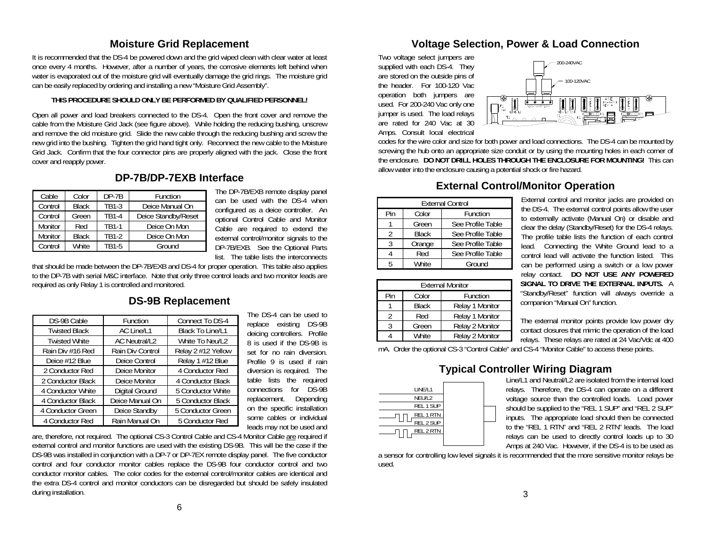#### **Moisture Grid Replacement**

It is recommended that the DS-4 be powered down and the grid wiped clean with clear water at least once every 4 months. However, after a number of years, the corrosive elements left behind when water is evaporated out of the moisture grid will eventually damage the grid rings. The moisture grid can be easily replaced by ordering and installing a new "Moisture Grid Assembly".

#### **THIS PROCEDURE SHOULD ONLY BE PERFORMED BY QUALIFIED PERSONNEL!**

Open all power and load breakers connected to the DS-4. Open the front cover and remove the cable from the Moisture Grid Jack (see figure above). While holding the reducing bushing, unscrew and remove the old moisture grid. Slide the new cable through the reducing bushing and screw the new grid into the bushing. Tighten the grid hand tight only. Reconnect the new cable to the Moisture Grid Jack. Confirm that the four connector pins are properly aligned with the jack. Close the front cover and reapply power.

## **DP-7B/DP-7EXB Interface**

| Cable   | Color        | $DP-7B$      | Function            |  |
|---------|--------------|--------------|---------------------|--|
| Control | <b>Black</b> | TR1-3        | Deice Manual On     |  |
| Control | Green        | <b>TR1-4</b> | Deice Standby/Reset |  |
| Monitor | Red          | <b>TR1-1</b> | Deice On Mon        |  |
| Monitor | <b>Black</b> | TB1-2        | Deice On Mon        |  |
| Control | <b>White</b> | TB1-5        | Ground              |  |

list. The table lists the interconnects The DP-7B/EXB remote display panel can be used with the DS-4 when configured as a deice controller. An optional Control Cable and Monitor Cable are required to extend the

that should be made between the DP-7B/EXB and DS-4 for proper operation. This table also applies to the DP-7B with serial M&C interface. Note that only three control leads and two monitor leads are required as only Relay 1 is controlled and monitored.

#### **DS-9B Replacement**

|                      |                      |                    | The DS-4 can be used to        |        | Red                    | Relay 1 Monitor                          |
|----------------------|----------------------|--------------------|--------------------------------|--------|------------------------|------------------------------------------|
| DS-9B Cable          | Function             | Connect To DS-4    | replace existing<br>DS-9B      |        |                        |                                          |
| <b>Twisted Black</b> | AC Line/L1           | Black To Line/L1   |                                |        | Green                  | Relay 2 Monitor                          |
|                      |                      |                    | deicing controllers. Profile   |        | White                  | Relay 2 Monitor                          |
| <b>Twisted White</b> | <b>AC Neutral/L2</b> | White To Neu/L2    | 8 is used if the DS-9B is      |        |                        |                                          |
| Rain Div #16 Red     | Rain Div Control     | Relay 2 #12 Yellow | set for no rain diversion.     |        |                        | mA. Order the optional CS-3 "Control Cab |
| Deice #12 Blue       | Deice Control        | Relay 1 #12 Blue   | Profile 9 is used if rain      |        |                        |                                          |
| 2 Conductor Red      | Deice Monitor        | 4 Conductor Red    | diversion is required. The     |        |                        | <b>Typical Cont</b>                      |
| 2 Conductor Black    | Deice Monitor        | 4 Conductor Black  | table lists the required       |        |                        |                                          |
| 4 Conductor White    | Digital Ground       | 5 Conductor White  | for DS-9B<br>connections       |        | LINE/L1                |                                          |
| 4 Conductor Black    | Deice Manual On      | 5 Conductor Black  | Depending<br>replacement.      |        | NEU/L2                 |                                          |
| 4 Conductor Green    | Deice Standby        | 5 Conductor Green  | on the specific installation   |        | REL 1 SUP              |                                          |
| 4 Conductor Red      | Rain Manual On       | 5 Conductor Red    | some cables or individual<br>. | $\Box$ | REL 1 RTN<br>REL 2 SUP |                                          |
|                      |                      |                    |                                |        |                        |                                          |

Profile 9 is used if rain diversion is required. The leads may not be used and The DS-4 can be used to replace existing DS-9B deicing controllers. Profile 8 is used if the DS-9B is set for no rain diversion. table lists the required connections for DS-9B replacement. Depending on the specific installation some cables or individual

are, therefore, not required. The optional CS-3 Control Cable and CS-4 Monitor Cable <u>are</u> required if external control and monitor functions are used with the existing DS-9B. This will be the case if the DS-9B was installed in conjunction with a DP-7 or DP-7EX remote display panel. The five conductor control and four conductor monitor cables replace the DS-9B four conductor control and two conductor monitor cables. The color codes for the external control/monitor cables are identical and the extra DS-4 control and monitor conductors can be disregarded but should be safely insulated during installation.

## **Voltage Selection, Power & Load Connection**

Two voltage select jumpers are supplied with each DS-4. They are stored on the outside pins of the header. For 100-120 Vac operation both jumpers are used. For 200-240 Vac only one jumper is used. The load relays are rated for 240 Vac at 30 Amps. Consult local electrical



codes for the wire color and size for both power and load connections. The DS-4 can be mounted by screwing the hub onto an appropriate size conduit or by using the mounting holes in each corner of lhe enclosure. DO NOT DRILL HOLES THROUGH THE ENCLOSURE FOR MOUNTING! This can allow water into the enclosure causing a potential shock or fire hazard.

#### **External Control/Monitor Operation**

| JГ  | UP-10                                   | <b>FUILLIUI</b>                                                                 |                                                                             |                         |              |                   |  |  |
|-----|-----------------------------------------|---------------------------------------------------------------------------------|-----------------------------------------------------------------------------|-------------------------|--------------|-------------------|--|--|
| сk  | TB1-3                                   | Deice Manual On                                                                 | can be used with the DS-4 when                                              | <b>External Control</b> |              |                   |  |  |
| эn  | TB1-4                                   | Deice Standby/Reset                                                             | configured as a deice controller. An<br>optional Control Cable and Monitor  | Pin                     | Color        | Function          |  |  |
|     | TB1-1                                   | Deice On Mon                                                                    |                                                                             |                         | Green        | See Profile Table |  |  |
| сk. | TB1-2                                   | Deice On Mon                                                                    | Cable are required to extend the<br>external control/monitor signals to the |                         | <b>Black</b> | See Profile Table |  |  |
| te  | TB1-5                                   | Ground                                                                          | DP-7B/EXB. See the Optional Parts                                           |                         | Orange       | See Profile Table |  |  |
|     | list. The table lists the interconnects |                                                                                 |                                                                             |                         | Red          | See Profile Table |  |  |
|     |                                         | de between the DP-7B/EXB and DS-4 for proper operation. This table also applies |                                                                             | White                   | Ground       |                   |  |  |
|     |                                         |                                                                                 |                                                                             |                         |              |                   |  |  |

| <b>External Monitor</b> |              |                 |  |  |
|-------------------------|--------------|-----------------|--|--|
| Pin                     | Color        | Function        |  |  |
|                         | <b>Black</b> | Relay 1 Monitor |  |  |
|                         | Red          | Relay 1 Monitor |  |  |
|                         | Green        | Relay 2 Monitor |  |  |
|                         | White        | Relay 2 Monitor |  |  |

External control and monitor jacks are provided on the DS-4. The external control points allow the user to externally activate (Manual On) or disable and clear the delay (Standby/Reset) for the DS-4 relays. The profile table lists the function of each control lead. Connecting the White Ground lead to a control lead will activate the function listed. This can be performed using a switch or a low power relay contact. **DO NOT USE ANY POWERED SIGNAL TO DRIVE THE EXTERNAL INPUTS.** A "Standby/Reset" function will always override a companion "Manual On" function.

The external monitor points provide low power dry contact closures that mimic the operation of the load relays. These relays are rated at 24 Vac/Vdc at 400

mA. Order the optional CS-3 "Control Cable" and CS-4 "Monitor Cable" to access these points.

| LINE/L1          |
|------------------|
| NEU/L2           |
| REL 1 SUP        |
| REL 1 RTN        |
| REL 2 SUP        |
| <b>REL 2 RTN</b> |
|                  |

# **Typical Controller Wiring Diagram**

Line/L1 and Neutral/L2 are isolated from the internal load relays. Therefore, the DS-4 can operate on a different voltage source than the controlled loads. Load power should be supplied to the "REL 1 SUP" and "REL 2 SUP" inputs. The appropriate load should then be connected to the "REL 1 RTN" and "REL 2 RTN" leads. The load relays can be used to directly control loads up to 30 Amps at 240 Vac. However, if the DS-4 is to be used as

a sensor for controlling low level signals it is recommended that the more sensitive monitor relays be used.